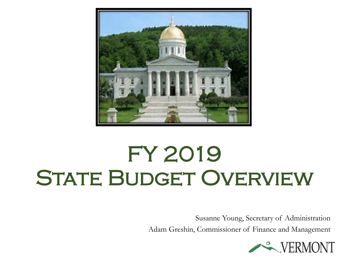

# FY 2019 STATE BUDGET OVERVIEW

Susanne Young, Secretary of Administration Adam Greshin, Commissioner of Finance and Management

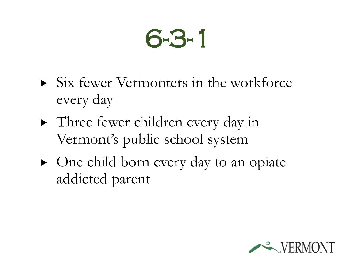# 6-3-1

- $\triangleright$  Six fewer Vermonters in the workforce every day
- Three fewer children every day in Vermont's public school system
- One child born every day to an opiate addicted parent

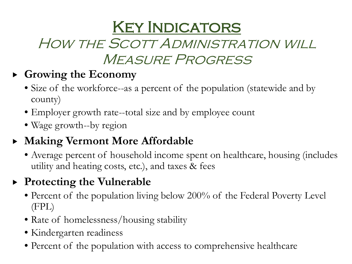# **KEY INDICATORS**

### HOW THE SCOTT ADMINISTRATION WILL Measure Progress

#### **Growing the Economy**

- Size of the workforce--as a percent of the population (statewide and by county)
- Employer growth rate--total size and by employee count
- Wage growth--by region

#### **Making Vermont More Affordable**

• Average percent of household income spent on healthcare, housing (includes utility and heating costs, etc.), and taxes & fees

#### **Protecting the Vulnerable**

- Percent of the population living below 200% of the Federal Poverty Level (FPL)
- Rate of homelessness/housing stability
- Kindergarten readiness
- Percent of the population with access to comprehensive healthcare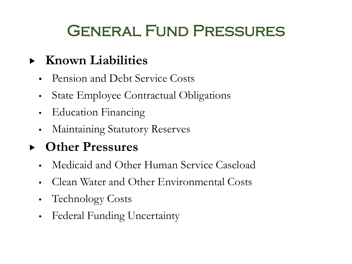# **GENERAL FUND PRESSURES**

#### **Known Liabilities**

- Pension and Debt Service Costs
- State Employee Contractual Obligations
- Education Financing
- Maintaining Statutory Reserves

#### **Other Pressures**

- Medicaid and Other Human Service Caseload
- Clean Water and Other Environmental Costs
- Technology Costs
- Federal Funding Uncertainty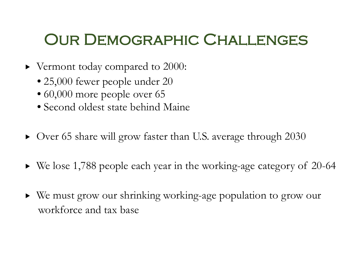## Our Demographic Challenges

- ▶ Vermont today compared to 2000:
	- 25,000 fewer people under 20
	- 60,000 more people over 65
	- Second oldest state behind Maine
- Over 65 share will grow faster than U.S. average through 2030
- We lose 1,788 people each year in the working-age category of 20-64
- We must grow our shrinking working-age population to grow our workforce and tax base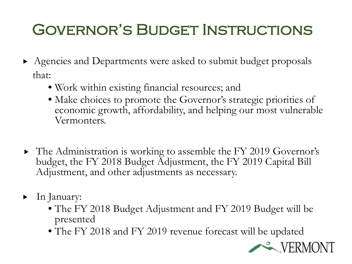# GOVERNOR'S BUDGET INSTRUCTIONS

- Agencies and Departments were asked to submit budget proposals that:
	- Work within existing financial resources; and
	- Make choices to promote the Governor's strategic priorities of economic growth, affordability, and helping our most vulnerable Vermonters.
- The Administration is working to assemble the FY 2019 Governor's budget, the FY 2018 Budget Adjustment, the FY 2019 Capital Bill Adjustment, and other adjustments as necessary.
- In January:
	- The FY 2018 Budget Adjustment and FY 2019 Budget will be presented
	- The FY 2018 and FY 2019 revenue forecast will be updated

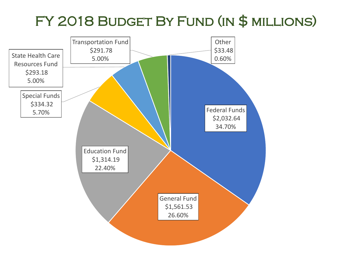### FY 2018 Budget By Fund (in \$ millions)

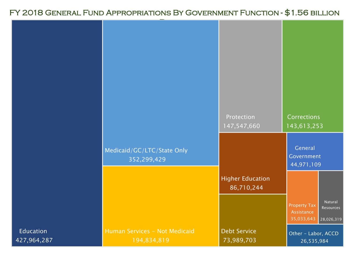#### FY 2018 General Fund Appropriations By Government Function - \$1.56 billion

|                          |                                              | Protection<br>147,547,660             | <b>Corrections</b><br>143,613,253                                                     |
|--------------------------|----------------------------------------------|---------------------------------------|---------------------------------------------------------------------------------------|
|                          | Medicaid/GC/LTC/State Only<br>352,299,429    |                                       | General<br>Government<br>44,971,109                                                   |
|                          |                                              | <b>Higher Education</b><br>86,710,244 |                                                                                       |
|                          |                                              |                                       | Natural<br><b>Property Tax</b><br>Resources<br>Assistance<br>35,033,643<br>28,026,319 |
| Education<br>427,964,287 | Human Services - Not Medicaid<br>194,834,819 | <b>Debt Service</b><br>73,989,703     | Other - Labor, ACCD<br>26,535,984                                                     |